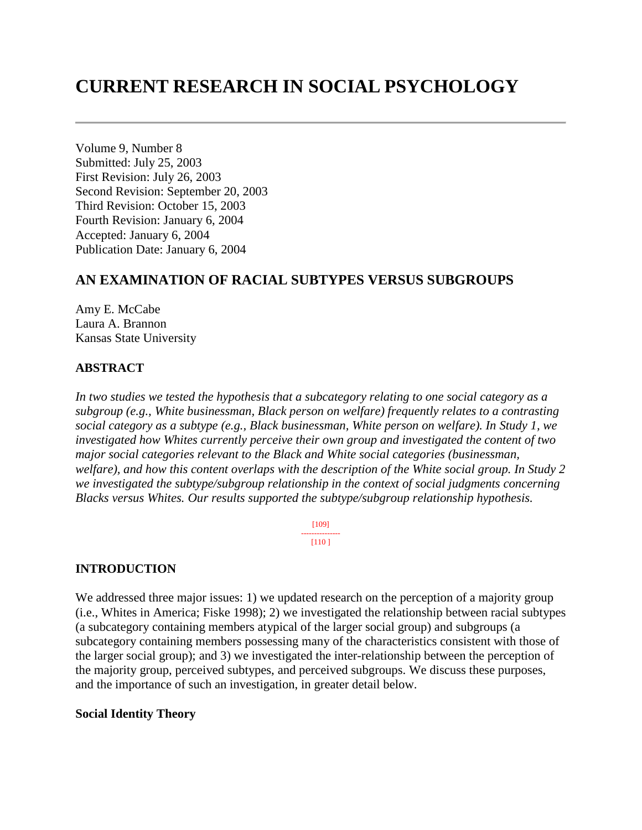# **CURRENT RESEARCH IN SOCIAL PSYCHOLOGY**

Volume 9, Number 8 Submitted: July 25, 2003 First Revision: July 26, 2003 Second Revision: September 20, 2003 Third Revision: October 15, 2003 Fourth Revision: January 6, 2004 Accepted: January 6, 2004 Publication Date: January 6, 2004

# **AN EXAMINATION OF RACIAL SUBTYPES VERSUS SUBGROUPS**

Amy E. McCabe Laura A. Brannon Kansas State University

#### **ABSTRACT**

*In two studies we tested the hypothesis that a subcategory relating to one social category as a subgroup (e.g., White businessman, Black person on welfare) frequently relates to a contrasting social category as a subtype (e.g., Black businessman, White person on welfare). In Study 1, we investigated how Whites currently perceive their own group and investigated the content of two major social categories relevant to the Black and White social categories (businessman, welfare), and how this content overlaps with the description of the White social group. In Study 2 we investigated the subtype/subgroup relationship in the context of social judgments concerning Blacks versus Whites. Our results supported the subtype/subgroup relationship hypothesis.*

> [109] --------------- [110 ]

### **INTRODUCTION**

We addressed three major issues: 1) we updated research on the perception of a majority group (i.e., Whites in America; Fiske 1998); 2) we investigated the relationship between racial subtypes (a subcategory containing members atypical of the larger social group) and subgroups (a subcategory containing members possessing many of the characteristics consistent with those of the larger social group); and 3) we investigated the inter-relationship between the perception of the majority group, perceived subtypes, and perceived subgroups. We discuss these purposes, and the importance of such an investigation, in greater detail below.

#### **Social Identity Theory**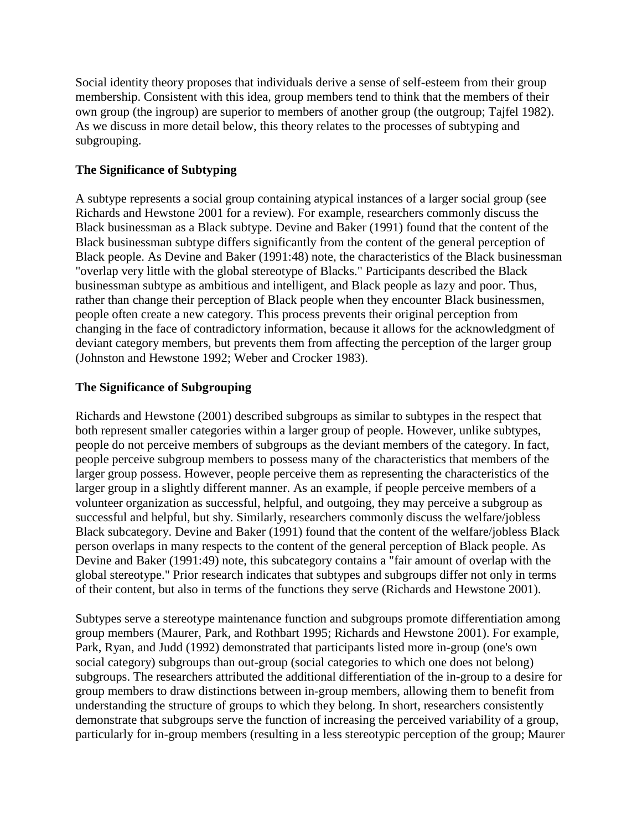Social identity theory proposes that individuals derive a sense of self-esteem from their group membership. Consistent with this idea, group members tend to think that the members of their own group (the ingroup) are superior to members of another group (the outgroup; Tajfel 1982). As we discuss in more detail below, this theory relates to the processes of subtyping and subgrouping.

# **The Significance of Subtyping**

A subtype represents a social group containing atypical instances of a larger social group (see Richards and Hewstone 2001 for a review). For example, researchers commonly discuss the Black businessman as a Black subtype. Devine and Baker (1991) found that the content of the Black businessman subtype differs significantly from the content of the general perception of Black people. As Devine and Baker (1991:48) note, the characteristics of the Black businessman "overlap very little with the global stereotype of Blacks." Participants described the Black businessman subtype as ambitious and intelligent, and Black people as lazy and poor. Thus, rather than change their perception of Black people when they encounter Black businessmen, people often create a new category. This process prevents their original perception from changing in the face of contradictory information, because it allows for the acknowledgment of deviant category members, but prevents them from affecting the perception of the larger group (Johnston and Hewstone 1992; Weber and Crocker 1983).

# **The Significance of Subgrouping**

Richards and Hewstone (2001) described subgroups as similar to subtypes in the respect that both represent smaller categories within a larger group of people. However, unlike subtypes, people do not perceive members of subgroups as the deviant members of the category. In fact, people perceive subgroup members to possess many of the characteristics that members of the larger group possess. However, people perceive them as representing the characteristics of the larger group in a slightly different manner. As an example, if people perceive members of a volunteer organization as successful, helpful, and outgoing, they may perceive a subgroup as successful and helpful, but shy. Similarly, researchers commonly discuss the welfare/jobless Black subcategory. Devine and Baker (1991) found that the content of the welfare/jobless Black person overlaps in many respects to the content of the general perception of Black people. As Devine and Baker (1991:49) note, this subcategory contains a "fair amount of overlap with the global stereotype." Prior research indicates that subtypes and subgroups differ not only in terms of their content, but also in terms of the functions they serve (Richards and Hewstone 2001).

Subtypes serve a stereotype maintenance function and subgroups promote differentiation among group members (Maurer, Park, and Rothbart 1995; Richards and Hewstone 2001). For example, Park, Ryan, and Judd (1992) demonstrated that participants listed more in-group (one's own social category) subgroups than out-group (social categories to which one does not belong) subgroups. The researchers attributed the additional differentiation of the in-group to a desire for group members to draw distinctions between in-group members, allowing them to benefit from understanding the structure of groups to which they belong. In short, researchers consistently demonstrate that subgroups serve the function of increasing the perceived variability of a group, particularly for in-group members (resulting in a less stereotypic perception of the group; Maurer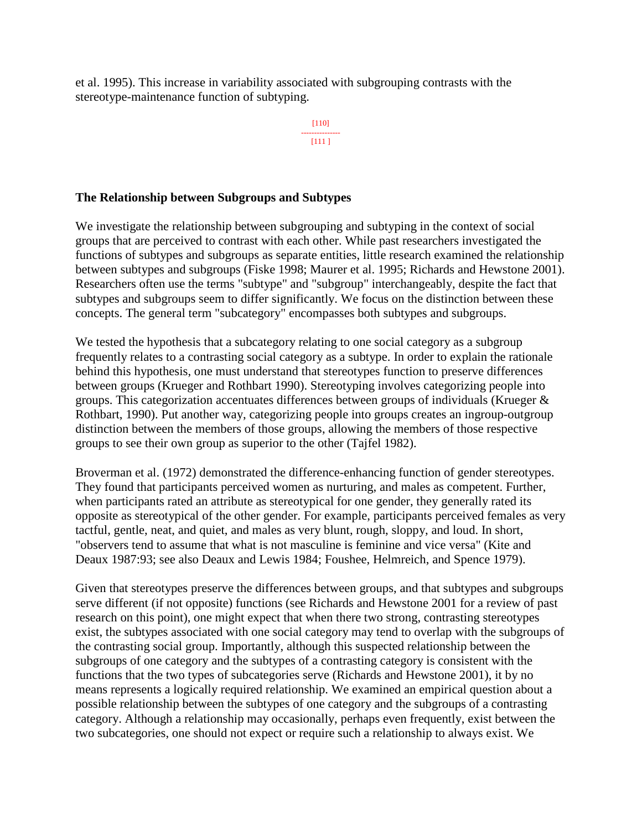et al. 1995). This increase in variability associated with subgrouping contrasts with the stereotype-maintenance function of subtyping.

> [110] --------------- [111 ]

# **The Relationship between Subgroups and Subtypes**

We investigate the relationship between subgrouping and subtyping in the context of social groups that are perceived to contrast with each other. While past researchers investigated the functions of subtypes and subgroups as separate entities, little research examined the relationship between subtypes and subgroups (Fiske 1998; Maurer et al. 1995; Richards and Hewstone 2001). Researchers often use the terms "subtype" and "subgroup" interchangeably, despite the fact that subtypes and subgroups seem to differ significantly. We focus on the distinction between these concepts. The general term "subcategory" encompasses both subtypes and subgroups.

We tested the hypothesis that a subcategory relating to one social category as a subgroup frequently relates to a contrasting social category as a subtype. In order to explain the rationale behind this hypothesis, one must understand that stereotypes function to preserve differences between groups (Krueger and Rothbart 1990). Stereotyping involves categorizing people into groups. This categorization accentuates differences between groups of individuals (Krueger & Rothbart, 1990). Put another way, categorizing people into groups creates an ingroup-outgroup distinction between the members of those groups, allowing the members of those respective groups to see their own group as superior to the other (Tajfel 1982).

Broverman et al. (1972) demonstrated the difference-enhancing function of gender stereotypes. They found that participants perceived women as nurturing, and males as competent. Further, when participants rated an attribute as stereotypical for one gender, they generally rated its opposite as stereotypical of the other gender. For example, participants perceived females as very tactful, gentle, neat, and quiet, and males as very blunt, rough, sloppy, and loud. In short, "observers tend to assume that what is not masculine is feminine and vice versa" (Kite and Deaux 1987:93; see also Deaux and Lewis 1984; Foushee, Helmreich, and Spence 1979).

Given that stereotypes preserve the differences between groups, and that subtypes and subgroups serve different (if not opposite) functions (see Richards and Hewstone 2001 for a review of past research on this point), one might expect that when there two strong, contrasting stereotypes exist, the subtypes associated with one social category may tend to overlap with the subgroups of the contrasting social group. Importantly, although this suspected relationship between the subgroups of one category and the subtypes of a contrasting category is consistent with the functions that the two types of subcategories serve (Richards and Hewstone 2001), it by no means represents a logically required relationship. We examined an empirical question about a possible relationship between the subtypes of one category and the subgroups of a contrasting category. Although a relationship may occasionally, perhaps even frequently, exist between the two subcategories, one should not expect or require such a relationship to always exist. We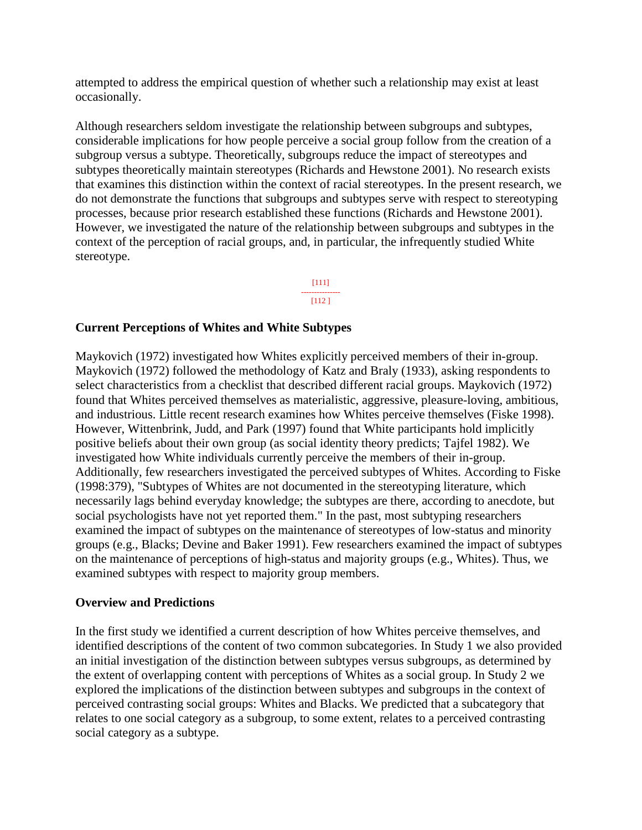attempted to address the empirical question of whether such a relationship may exist at least occasionally.

Although researchers seldom investigate the relationship between subgroups and subtypes, considerable implications for how people perceive a social group follow from the creation of a subgroup versus a subtype. Theoretically, subgroups reduce the impact of stereotypes and subtypes theoretically maintain stereotypes (Richards and Hewstone 2001). No research exists that examines this distinction within the context of racial stereotypes. In the present research, we do not demonstrate the functions that subgroups and subtypes serve with respect to stereotyping processes, because prior research established these functions (Richards and Hewstone 2001). However, we investigated the nature of the relationship between subgroups and subtypes in the context of the perception of racial groups, and, in particular, the infrequently studied White stereotype.

> [111] --------------- [112 ]

#### **Current Perceptions of Whites and White Subtypes**

Maykovich (1972) investigated how Whites explicitly perceived members of their in-group. Maykovich (1972) followed the methodology of Katz and Braly (1933), asking respondents to select characteristics from a checklist that described different racial groups. Maykovich (1972) found that Whites perceived themselves as materialistic, aggressive, pleasure-loving, ambitious, and industrious. Little recent research examines how Whites perceive themselves (Fiske 1998). However, Wittenbrink, Judd, and Park (1997) found that White participants hold implicitly positive beliefs about their own group (as social identity theory predicts; Tajfel 1982). We investigated how White individuals currently perceive the members of their in-group. Additionally, few researchers investigated the perceived subtypes of Whites. According to Fiske (1998:379), "Subtypes of Whites are not documented in the stereotyping literature, which necessarily lags behind everyday knowledge; the subtypes are there, according to anecdote, but social psychologists have not yet reported them." In the past, most subtyping researchers examined the impact of subtypes on the maintenance of stereotypes of low-status and minority groups (e.g., Blacks; Devine and Baker 1991). Few researchers examined the impact of subtypes on the maintenance of perceptions of high-status and majority groups (e.g., Whites). Thus, we examined subtypes with respect to majority group members.

### **Overview and Predictions**

In the first study we identified a current description of how Whites perceive themselves, and identified descriptions of the content of two common subcategories. In Study 1 we also provided an initial investigation of the distinction between subtypes versus subgroups, as determined by the extent of overlapping content with perceptions of Whites as a social group. In Study 2 we explored the implications of the distinction between subtypes and subgroups in the context of perceived contrasting social groups: Whites and Blacks. We predicted that a subcategory that relates to one social category as a subgroup, to some extent, relates to a perceived contrasting social category as a subtype.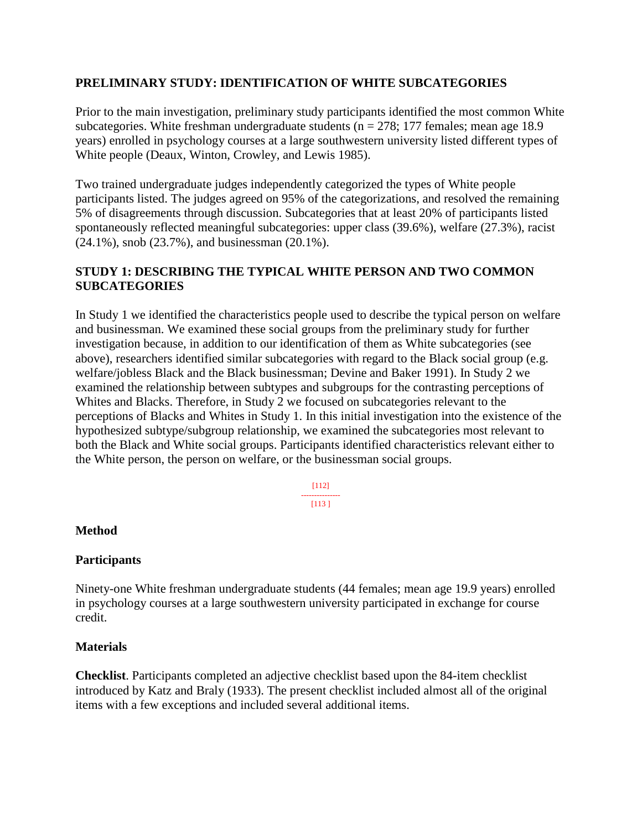# **PRELIMINARY STUDY: IDENTIFICATION OF WHITE SUBCATEGORIES**

Prior to the main investigation, preliminary study participants identified the most common White subcategories. White freshman undergraduate students ( $n = 278$ ; 177 females; mean age 18.9 years) enrolled in psychology courses at a large southwestern university listed different types of White people (Deaux, Winton, Crowley, and Lewis 1985).

Two trained undergraduate judges independently categorized the types of White people participants listed. The judges agreed on 95% of the categorizations, and resolved the remaining 5% of disagreements through discussion. Subcategories that at least 20% of participants listed spontaneously reflected meaningful subcategories: upper class (39.6%), welfare (27.3%), racist (24.1%), snob (23.7%), and businessman (20.1%).

# **STUDY 1: DESCRIBING THE TYPICAL WHITE PERSON AND TWO COMMON SUBCATEGORIES**

In Study 1 we identified the characteristics people used to describe the typical person on welfare and businessman. We examined these social groups from the preliminary study for further investigation because, in addition to our identification of them as White subcategories (see above), researchers identified similar subcategories with regard to the Black social group (e.g. welfare/jobless Black and the Black businessman; Devine and Baker 1991). In Study 2 we examined the relationship between subtypes and subgroups for the contrasting perceptions of Whites and Blacks. Therefore, in Study 2 we focused on subcategories relevant to the perceptions of Blacks and Whites in Study 1. In this initial investigation into the existence of the hypothesized subtype/subgroup relationship, we examined the subcategories most relevant to both the Black and White social groups. Participants identified characteristics relevant either to the White person, the person on welfare, or the businessman social groups.

> [112] --------------- [113 ]

# **Method**

### **Participants**

Ninety-one White freshman undergraduate students (44 females; mean age 19.9 years) enrolled in psychology courses at a large southwestern university participated in exchange for course credit.

### **Materials**

**Checklist**. Participants completed an adjective checklist based upon the 84-item checklist introduced by Katz and Braly (1933). The present checklist included almost all of the original items with a few exceptions and included several additional items.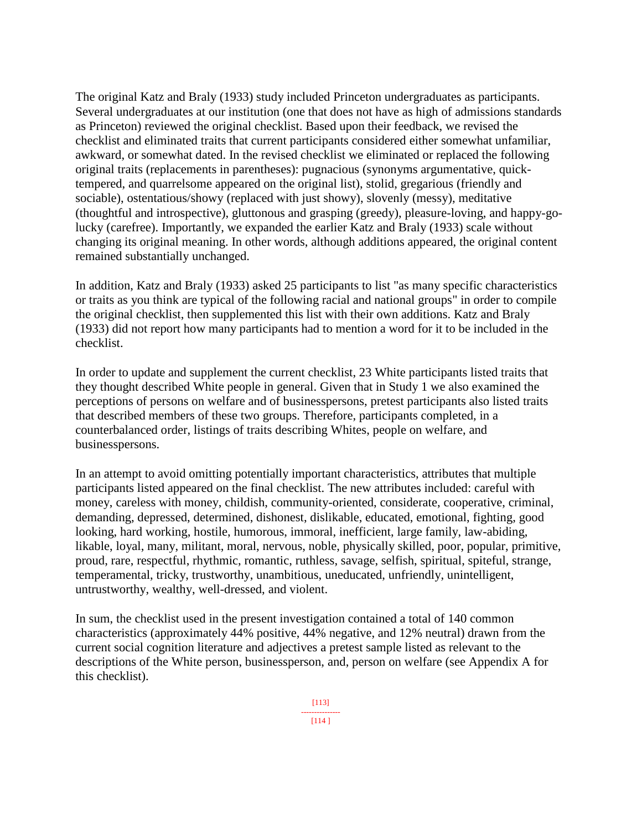The original Katz and Braly (1933) study included Princeton undergraduates as participants. Several undergraduates at our institution (one that does not have as high of admissions standards as Princeton) reviewed the original checklist. Based upon their feedback, we revised the checklist and eliminated traits that current participants considered either somewhat unfamiliar, awkward, or somewhat dated. In the revised checklist we eliminated or replaced the following original traits (replacements in parentheses): pugnacious (synonyms argumentative, quicktempered, and quarrelsome appeared on the original list), stolid, gregarious (friendly and sociable), ostentatious/showy (replaced with just showy), slovenly (messy), meditative (thoughtful and introspective), gluttonous and grasping (greedy), pleasure-loving, and happy-golucky (carefree). Importantly, we expanded the earlier Katz and Braly (1933) scale without changing its original meaning. In other words, although additions appeared, the original content remained substantially unchanged.

In addition, Katz and Braly (1933) asked 25 participants to list "as many specific characteristics or traits as you think are typical of the following racial and national groups" in order to compile the original checklist, then supplemented this list with their own additions. Katz and Braly (1933) did not report how many participants had to mention a word for it to be included in the checklist.

In order to update and supplement the current checklist, 23 White participants listed traits that they thought described White people in general. Given that in Study 1 we also examined the perceptions of persons on welfare and of businesspersons, pretest participants also listed traits that described members of these two groups. Therefore, participants completed, in a counterbalanced order, listings of traits describing Whites, people on welfare, and businesspersons.

In an attempt to avoid omitting potentially important characteristics, attributes that multiple participants listed appeared on the final checklist. The new attributes included: careful with money, careless with money, childish, community-oriented, considerate, cooperative, criminal, demanding, depressed, determined, dishonest, dislikable, educated, emotional, fighting, good looking, hard working, hostile, humorous, immoral, inefficient, large family, law-abiding, likable, loyal, many, militant, moral, nervous, noble, physically skilled, poor, popular, primitive, proud, rare, respectful, rhythmic, romantic, ruthless, savage, selfish, spiritual, spiteful, strange, temperamental, tricky, trustworthy, unambitious, uneducated, unfriendly, unintelligent, untrustworthy, wealthy, well-dressed, and violent.

In sum, the checklist used in the present investigation contained a total of 140 common characteristics (approximately 44% positive, 44% negative, and 12% neutral) drawn from the current social cognition literature and adjectives a pretest sample listed as relevant to the descriptions of the White person, businessperson, and, person on welfare (see Appendix A for this checklist).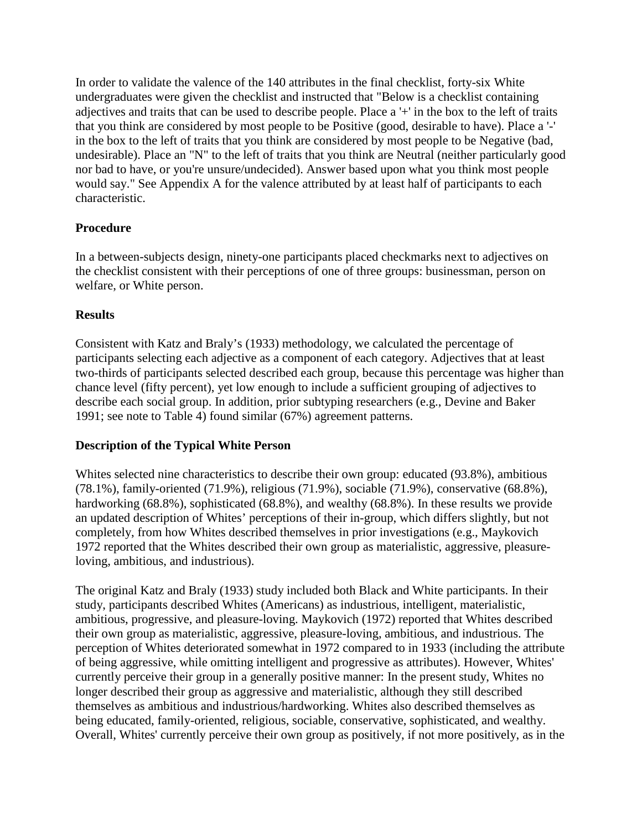In order to validate the valence of the 140 attributes in the final checklist, forty-six White undergraduates were given the checklist and instructed that "Below is a checklist containing adjectives and traits that can be used to describe people. Place a '+' in the box to the left of traits that you think are considered by most people to be Positive (good, desirable to have). Place a '-' in the box to the left of traits that you think are considered by most people to be Negative (bad, undesirable). Place an "N" to the left of traits that you think are Neutral (neither particularly good nor bad to have, or you're unsure/undecided). Answer based upon what you think most people would say." See Appendix A for the valence attributed by at least half of participants to each characteristic.

# **Procedure**

In a between-subjects design, ninety-one participants placed checkmarks next to adjectives on the checklist consistent with their perceptions of one of three groups: businessman, person on welfare, or White person.

# **Results**

Consistent with Katz and Braly's (1933) methodology, we calculated the percentage of participants selecting each adjective as a component of each category. Adjectives that at least two-thirds of participants selected described each group, because this percentage was higher than chance level (fifty percent), yet low enough to include a sufficient grouping of adjectives to describe each social group. In addition, prior subtyping researchers (e.g., Devine and Baker 1991; see note to Table 4) found similar (67%) agreement patterns.

# **Description of the Typical White Person**

Whites selected nine characteristics to describe their own group: educated (93.8%), ambitious (78.1%), family-oriented (71.9%), religious (71.9%), sociable (71.9%), conservative (68.8%), hardworking (68.8%), sophisticated (68.8%), and wealthy (68.8%). In these results we provide an updated description of Whites' perceptions of their in-group, which differs slightly, but not completely, from how Whites described themselves in prior investigations (e.g., Maykovich 1972 reported that the Whites described their own group as materialistic, aggressive, pleasureloving, ambitious, and industrious).

The original Katz and Braly (1933) study included both Black and White participants. In their study, participants described Whites (Americans) as industrious, intelligent, materialistic, ambitious, progressive, and pleasure-loving. Maykovich (1972) reported that Whites described their own group as materialistic, aggressive, pleasure-loving, ambitious, and industrious. The perception of Whites deteriorated somewhat in 1972 compared to in 1933 (including the attribute of being aggressive, while omitting intelligent and progressive as attributes). However, Whites' currently perceive their group in a generally positive manner: In the present study, Whites no longer described their group as aggressive and materialistic, although they still described themselves as ambitious and industrious/hardworking. Whites also described themselves as being educated, family-oriented, religious, sociable, conservative, sophisticated, and wealthy. Overall, Whites' currently perceive their own group as positively, if not more positively, as in the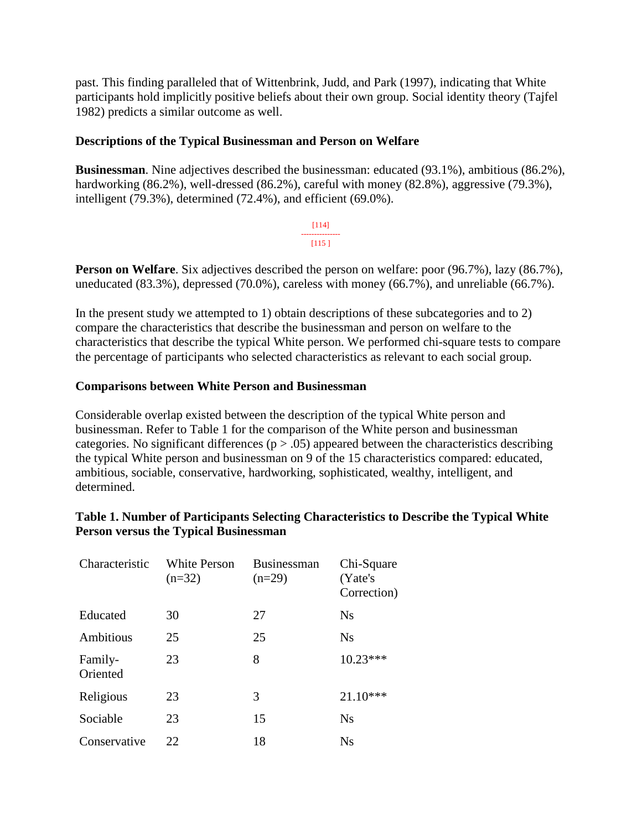past. This finding paralleled that of Wittenbrink, Judd, and Park (1997), indicating that White participants hold implicitly positive beliefs about their own group. Social identity theory (Tajfel 1982) predicts a similar outcome as well.

# **Descriptions of the Typical Businessman and Person on Welfare**

**Businessman**. Nine adjectives described the businessman: educated (93.1%), ambitious (86.2%), hardworking (86.2%), well-dressed (86.2%), careful with money (82.8%), aggressive (79.3%), intelligent (79.3%), determined (72.4%), and efficient (69.0%).

> [114] ---------------  $[115]$

**Person on Welfare**. Six adjectives described the person on welfare: poor (96.7%), lazy (86.7%), uneducated (83.3%), depressed (70.0%), careless with money (66.7%), and unreliable (66.7%).

In the present study we attempted to 1) obtain descriptions of these subcategories and to 2) compare the characteristics that describe the businessman and person on welfare to the characteristics that describe the typical White person. We performed chi-square tests to compare the percentage of participants who selected characteristics as relevant to each social group.

### **Comparisons between White Person and Businessman**

Considerable overlap existed between the description of the typical White person and businessman. Refer to Table 1 for the comparison of the White person and businessman categories. No significant differences  $(p > .05)$  appeared between the characteristics describing the typical White person and businessman on 9 of the 15 characteristics compared: educated, ambitious, sociable, conservative, hardworking, sophisticated, wealthy, intelligent, and determined.

# **Table 1. Number of Participants Selecting Characteristics to Describe the Typical White Person versus the Typical Businessman**

| Characteristic      | <b>White Person</b><br>$(n=32)$ | <b>Businessman</b><br>$(n=29)$ | Chi-Square<br>(Yate's<br>Correction) |
|---------------------|---------------------------------|--------------------------------|--------------------------------------|
| Educated            | 30                              | 27                             | <b>Ns</b>                            |
| Ambitious           | 25                              | 25                             | <b>Ns</b>                            |
| Family-<br>Oriented | 23                              | 8                              | $10.23***$                           |
| Religious           | 23                              | 3                              | $21.10***$                           |
| Sociable            | 23                              | 15                             | <b>Ns</b>                            |
| Conservative        | 22                              | 18                             | Ns                                   |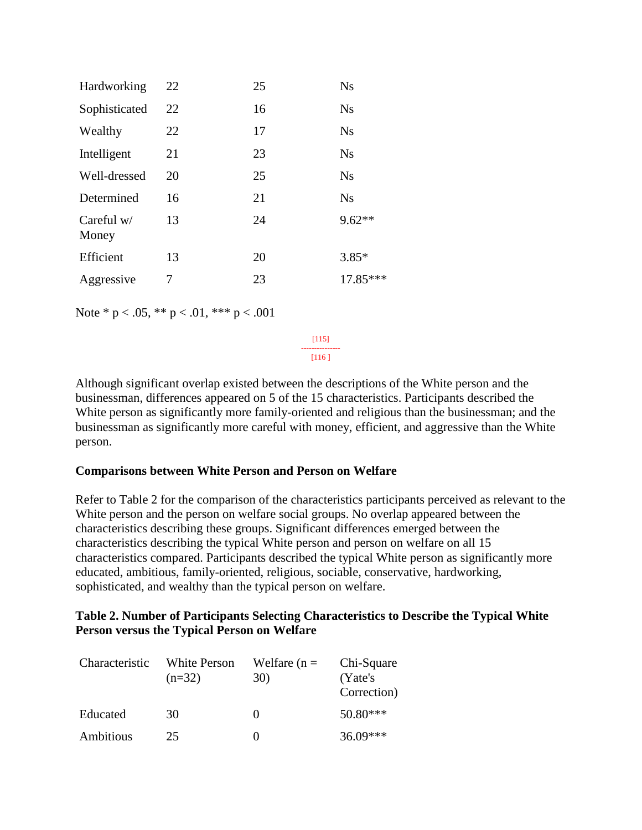| Hardworking           | 22 | 25 | <b>Ns</b> |
|-----------------------|----|----|-----------|
| Sophisticated         | 22 | 16 | <b>Ns</b> |
| Wealthy               | 22 | 17 | <b>Ns</b> |
| Intelligent           | 21 | 23 | <b>Ns</b> |
| Well-dressed          | 20 | 25 | <b>Ns</b> |
| Determined            | 16 | 21 | <b>Ns</b> |
| Careful $w/$<br>Money | 13 | 24 | $9.62**$  |
| Efficient             | 13 | 20 | $3.85*$   |
| Aggressive            | 7  | 23 | 17.85***  |

Note \*  $p < .05$ , \*\*  $p < .01$ , \*\*\*  $p < .001$ 

[115] ---------------

[116 ]

Although significant overlap existed between the descriptions of the White person and the businessman, differences appeared on 5 of the 15 characteristics. Participants described the White person as significantly more family-oriented and religious than the businessman; and the businessman as significantly more careful with money, efficient, and aggressive than the White person.

### **Comparisons between White Person and Person on Welfare**

Refer to Table 2 for the comparison of the characteristics participants perceived as relevant to the White person and the person on welfare social groups. No overlap appeared between the characteristics describing these groups. Significant differences emerged between the characteristics describing the typical White person and person on welfare on all 15 characteristics compared. Participants described the typical White person as significantly more educated, ambitious, family-oriented, religious, sociable, conservative, hardworking, sophisticated, and wealthy than the typical person on welfare.

### **Table 2. Number of Participants Selecting Characteristics to Describe the Typical White Person versus the Typical Person on Welfare**

| Characteristic | <b>White Person</b><br>$(n=32)$ | Welfare $(n =$<br>30) | Chi-Square<br>(Yate's)<br>Correction) |
|----------------|---------------------------------|-----------------------|---------------------------------------|
| Educated       | 30                              |                       | $50.80***$                            |
| Ambitious      | 25                              |                       | $36.09***$                            |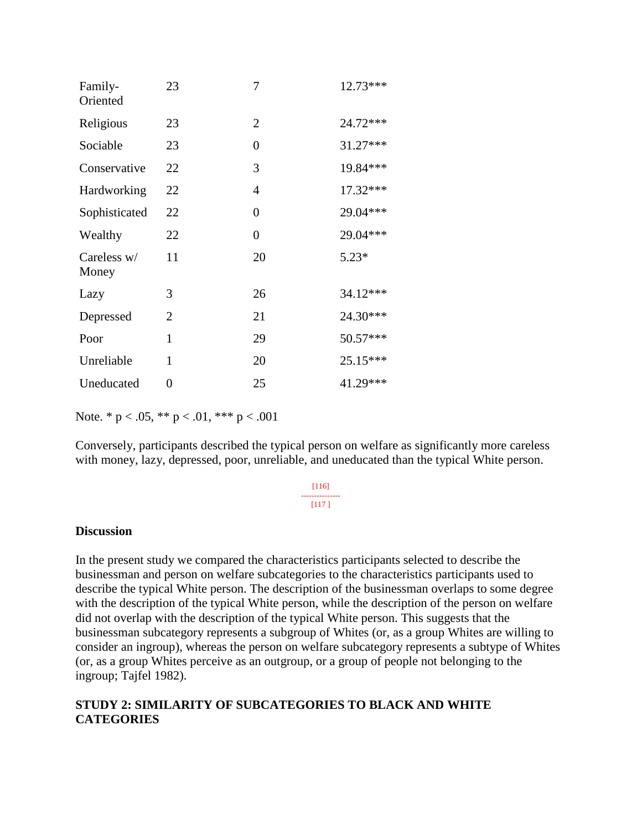| Family-<br>Oriented  | 23 | 7              | 12.73*** |
|----------------------|----|----------------|----------|
| Religious            | 23 | $\overline{2}$ | 24.72*** |
| Sociable             | 23 | 0              | 31.27*** |
| Conservative         | 22 | 3              | 19.84*** |
| Hardworking          | 22 | $\overline{4}$ | 17.32*** |
| Sophisticated        | 22 | 0              | 29.04*** |
| Wealthy              | 22 | 0              | 29.04*** |
| Careless w/<br>Money | 11 | 20             | $5.23*$  |
| Lazy                 | 3  | 26             | 34.12*** |
| Depressed            | 2  | 21             | 24.30*** |
| Poor                 | 1  | 29             | 50.57*** |
| Unreliable           | 1  | 20             | 25.15*** |
| Uneducated           | 0  | 25             | 41.29*** |

Note. \*  $p < .05$ , \*\*  $p < .01$ , \*\*\*  $p < .001$ 

Conversely, participants described the typical person on welfare as significantly more careless with money, lazy, depressed, poor, unreliable, and uneducated than the typical White person.

#### [116] --------------- [117 ]

### **Discussion**

In the present study we compared the characteristics participants selected to describe the businessman and person on welfare subcategories to the characteristics participants used to describe the typical White person. The description of the businessman overlaps to some degree with the description of the typical White person, while the description of the person on welfare did not overlap with the description of the typical White person. This suggests that the businessman subcategory represents a subgroup of Whites (or, as a group Whites are willing to consider an ingroup), whereas the person on welfare subcategory represents a subtype of Whites (or, as a group Whites perceive as an outgroup, or a group of people not belonging to the ingroup; Tajfel 1982).

# **STUDY 2: SIMILARITY OF SUBCATEGORIES TO BLACK AND WHITE CATEGORIES**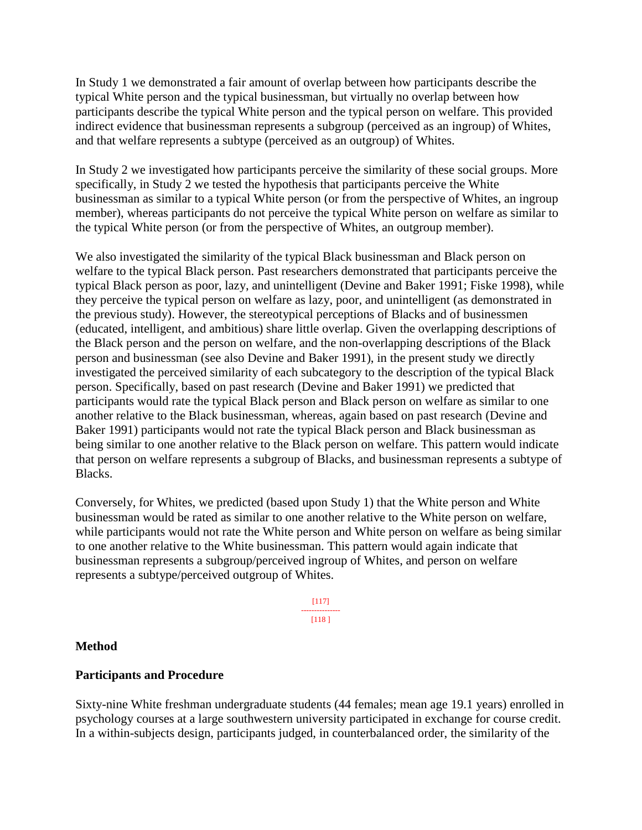In Study 1 we demonstrated a fair amount of overlap between how participants describe the typical White person and the typical businessman, but virtually no overlap between how participants describe the typical White person and the typical person on welfare. This provided indirect evidence that businessman represents a subgroup (perceived as an ingroup) of Whites, and that welfare represents a subtype (perceived as an outgroup) of Whites.

In Study 2 we investigated how participants perceive the similarity of these social groups. More specifically, in Study 2 we tested the hypothesis that participants perceive the White businessman as similar to a typical White person (or from the perspective of Whites, an ingroup member), whereas participants do not perceive the typical White person on welfare as similar to the typical White person (or from the perspective of Whites, an outgroup member).

We also investigated the similarity of the typical Black businessman and Black person on welfare to the typical Black person. Past researchers demonstrated that participants perceive the typical Black person as poor, lazy, and unintelligent (Devine and Baker 1991; Fiske 1998), while they perceive the typical person on welfare as lazy, poor, and unintelligent (as demonstrated in the previous study). However, the stereotypical perceptions of Blacks and of businessmen (educated, intelligent, and ambitious) share little overlap. Given the overlapping descriptions of the Black person and the person on welfare, and the non-overlapping descriptions of the Black person and businessman (see also Devine and Baker 1991), in the present study we directly investigated the perceived similarity of each subcategory to the description of the typical Black person. Specifically, based on past research (Devine and Baker 1991) we predicted that participants would rate the typical Black person and Black person on welfare as similar to one another relative to the Black businessman, whereas, again based on past research (Devine and Baker 1991) participants would not rate the typical Black person and Black businessman as being similar to one another relative to the Black person on welfare. This pattern would indicate that person on welfare represents a subgroup of Blacks, and businessman represents a subtype of Blacks.

Conversely, for Whites, we predicted (based upon Study 1) that the White person and White businessman would be rated as similar to one another relative to the White person on welfare, while participants would not rate the White person and White person on welfare as being similar to one another relative to the White businessman. This pattern would again indicate that businessman represents a subgroup/perceived ingroup of Whites, and person on welfare represents a subtype/perceived outgroup of Whites.

> [117] --------------- [118 ]

### **Method**

### **Participants and Procedure**

Sixty-nine White freshman undergraduate students (44 females; mean age 19.1 years) enrolled in psychology courses at a large southwestern university participated in exchange for course credit. In a within-subjects design, participants judged, in counterbalanced order, the similarity of the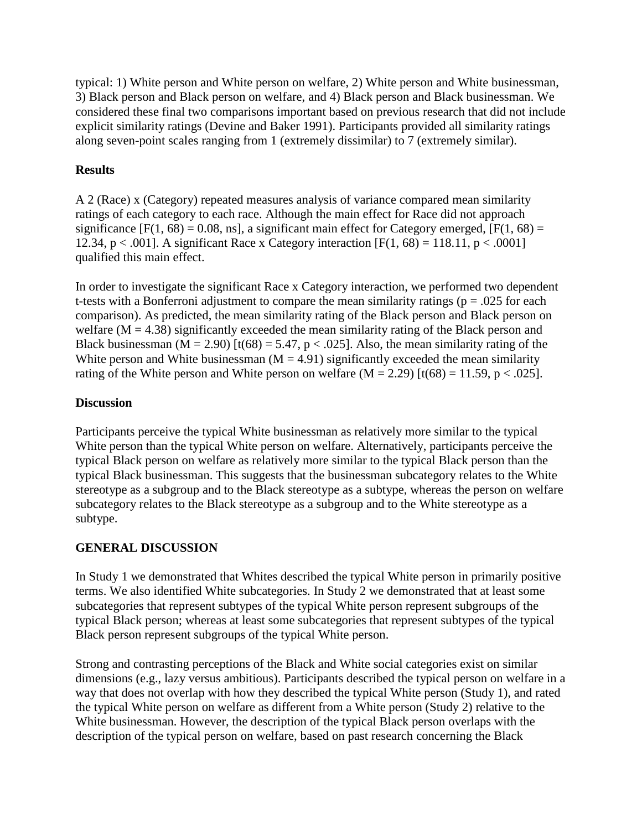typical: 1) White person and White person on welfare, 2) White person and White businessman, 3) Black person and Black person on welfare, and 4) Black person and Black businessman. We considered these final two comparisons important based on previous research that did not include explicit similarity ratings (Devine and Baker 1991). Participants provided all similarity ratings along seven-point scales ranging from 1 (extremely dissimilar) to 7 (extremely similar).

# **Results**

A 2 (Race) x (Category) repeated measures analysis of variance compared mean similarity ratings of each category to each race. Although the main effect for Race did not approach significance  $[F(1, 68) = 0.08, \text{ns}]$ , a significant main effect for Category emerged,  $[F(1, 68) =$ 12.34, p < .001]. A significant Race x Category interaction  $[F(1, 68) = 118.11, p < .0001]$ qualified this main effect.

In order to investigate the significant Race x Category interaction, we performed two dependent t-tests with a Bonferroni adjustment to compare the mean similarity ratings ( $p = .025$  for each comparison). As predicted, the mean similarity rating of the Black person and Black person on welfare  $(M = 4.38)$  significantly exceeded the mean similarity rating of the Black person and Black businessman ( $M = 2.90$ ) [t(68) = 5.47, p < .025]. Also, the mean similarity rating of the White person and White businessman ( $M = 4.91$ ) significantly exceeded the mean similarity rating of the White person and White person on welfare  $(M = 2.29)$  [t(68) = 11.59, p < .025].

# **Discussion**

Participants perceive the typical White businessman as relatively more similar to the typical White person than the typical White person on welfare. Alternatively, participants perceive the typical Black person on welfare as relatively more similar to the typical Black person than the typical Black businessman. This suggests that the businessman subcategory relates to the White stereotype as a subgroup and to the Black stereotype as a subtype, whereas the person on welfare subcategory relates to the Black stereotype as a subgroup and to the White stereotype as a subtype.

# **GENERAL DISCUSSION**

In Study 1 we demonstrated that Whites described the typical White person in primarily positive terms. We also identified White subcategories. In Study 2 we demonstrated that at least some subcategories that represent subtypes of the typical White person represent subgroups of the typical Black person; whereas at least some subcategories that represent subtypes of the typical Black person represent subgroups of the typical White person.

Strong and contrasting perceptions of the Black and White social categories exist on similar dimensions (e.g., lazy versus ambitious). Participants described the typical person on welfare in a way that does not overlap with how they described the typical White person (Study 1), and rated the typical White person on welfare as different from a White person (Study 2) relative to the White businessman. However, the description of the typical Black person overlaps with the description of the typical person on welfare, based on past research concerning the Black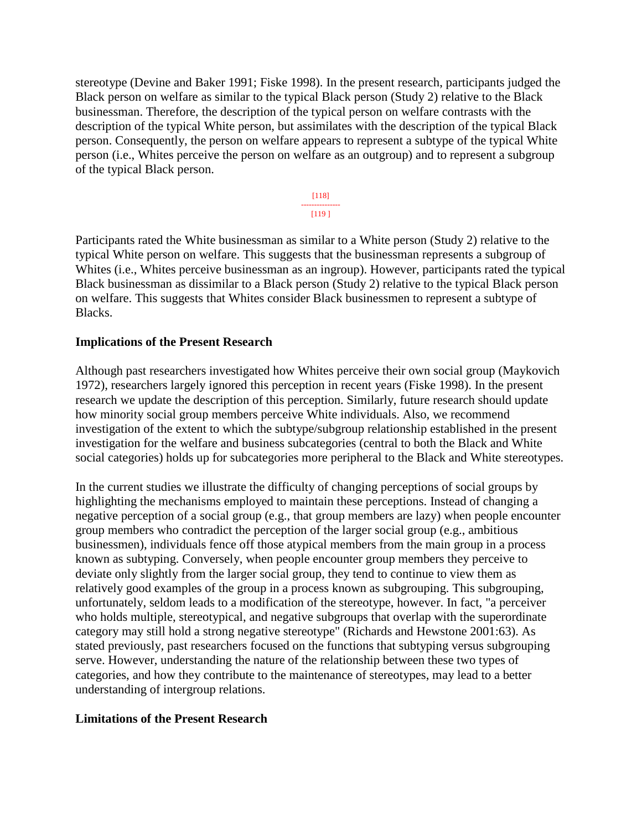stereotype (Devine and Baker 1991; Fiske 1998). In the present research, participants judged the Black person on welfare as similar to the typical Black person (Study 2) relative to the Black businessman. Therefore, the description of the typical person on welfare contrasts with the description of the typical White person, but assimilates with the description of the typical Black person. Consequently, the person on welfare appears to represent a subtype of the typical White person (i.e., Whites perceive the person on welfare as an outgroup) and to represent a subgroup of the typical Black person.

#### [118] --------------- [119 ]

Participants rated the White businessman as similar to a White person (Study 2) relative to the typical White person on welfare. This suggests that the businessman represents a subgroup of Whites (i.e., Whites perceive businessman as an ingroup). However, participants rated the typical Black businessman as dissimilar to a Black person (Study 2) relative to the typical Black person on welfare. This suggests that Whites consider Black businessmen to represent a subtype of Blacks.

### **Implications of the Present Research**

Although past researchers investigated how Whites perceive their own social group (Maykovich 1972), researchers largely ignored this perception in recent years (Fiske 1998). In the present research we update the description of this perception. Similarly, future research should update how minority social group members perceive White individuals. Also, we recommend investigation of the extent to which the subtype/subgroup relationship established in the present investigation for the welfare and business subcategories (central to both the Black and White social categories) holds up for subcategories more peripheral to the Black and White stereotypes.

In the current studies we illustrate the difficulty of changing perceptions of social groups by highlighting the mechanisms employed to maintain these perceptions. Instead of changing a negative perception of a social group (e.g., that group members are lazy) when people encounter group members who contradict the perception of the larger social group (e.g., ambitious businessmen), individuals fence off those atypical members from the main group in a process known as subtyping. Conversely, when people encounter group members they perceive to deviate only slightly from the larger social group, they tend to continue to view them as relatively good examples of the group in a process known as subgrouping. This subgrouping, unfortunately, seldom leads to a modification of the stereotype, however. In fact, "a perceiver who holds multiple, stereotypical, and negative subgroups that overlap with the superordinate category may still hold a strong negative stereotype" (Richards and Hewstone 2001:63). As stated previously, past researchers focused on the functions that subtyping versus subgrouping serve. However, understanding the nature of the relationship between these two types of categories, and how they contribute to the maintenance of stereotypes, may lead to a better understanding of intergroup relations.

#### **Limitations of the Present Research**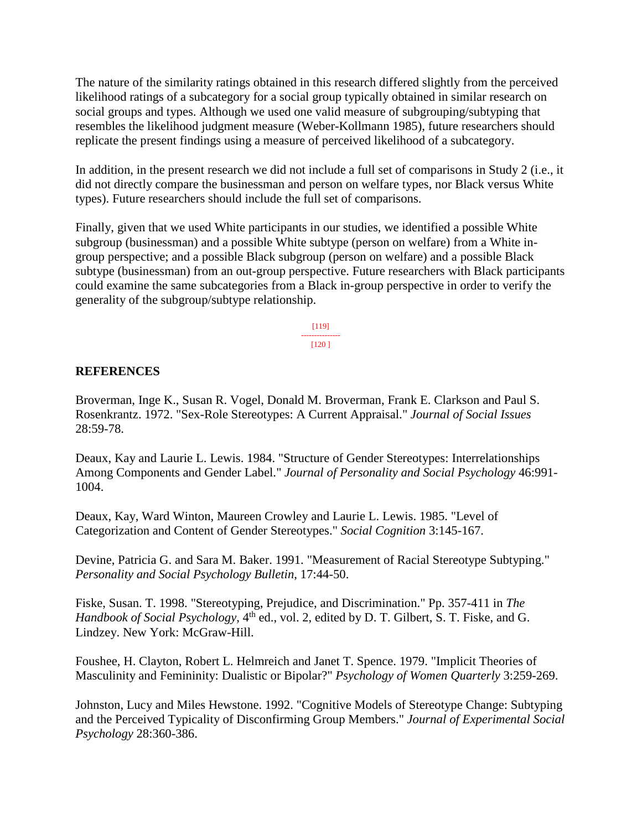The nature of the similarity ratings obtained in this research differed slightly from the perceived likelihood ratings of a subcategory for a social group typically obtained in similar research on social groups and types. Although we used one valid measure of subgrouping/subtyping that resembles the likelihood judgment measure (Weber-Kollmann 1985), future researchers should replicate the present findings using a measure of perceived likelihood of a subcategory.

In addition, in the present research we did not include a full set of comparisons in Study 2 (i.e., it did not directly compare the businessman and person on welfare types, nor Black versus White types). Future researchers should include the full set of comparisons.

Finally, given that we used White participants in our studies, we identified a possible White subgroup (businessman) and a possible White subtype (person on welfare) from a White ingroup perspective; and a possible Black subgroup (person on welfare) and a possible Black subtype (businessman) from an out-group perspective. Future researchers with Black participants could examine the same subcategories from a Black in-group perspective in order to verify the generality of the subgroup/subtype relationship.

> [119] --------------- [120 ]

# **REFERENCES**

Broverman, Inge K., Susan R. Vogel, Donald M. Broverman, Frank E. Clarkson and Paul S. Rosenkrantz. 1972. "Sex-Role Stereotypes: A Current Appraisal." *Journal of Social Issues*  28:59-78.

Deaux, Kay and Laurie L. Lewis. 1984. "Structure of Gender Stereotypes: Interrelationships Among Components and Gender Label." *Journal of Personality and Social Psychology* 46:991- 1004.

Deaux, Kay, Ward Winton, Maureen Crowley and Laurie L. Lewis. 1985. "Level of Categorization and Content of Gender Stereotypes." *Social Cognition* 3:145-167.

Devine, Patricia G. and Sara M. Baker. 1991. "Measurement of Racial Stereotype Subtyping." *Personality and Social Psychology Bulletin*, 17:44-50.

Fiske, Susan. T. 1998. "Stereotyping, Prejudice, and Discrimination." Pp. 357-411 in *The Handbook of Social Psychology*, 4<sup>th</sup> ed., vol. 2, edited by D. T. Gilbert, S. T. Fiske, and G. Lindzey. New York: McGraw-Hill.

Foushee, H. Clayton, Robert L. Helmreich and Janet T. Spence. 1979. "Implicit Theories of Masculinity and Femininity: Dualistic or Bipolar?" *Psychology of Women Quarterly* 3:259-269.

Johnston, Lucy and Miles Hewstone. 1992. "Cognitive Models of Stereotype Change: Subtyping and the Perceived Typicality of Disconfirming Group Members." *Journal of Experimental Social Psychology* 28:360-386.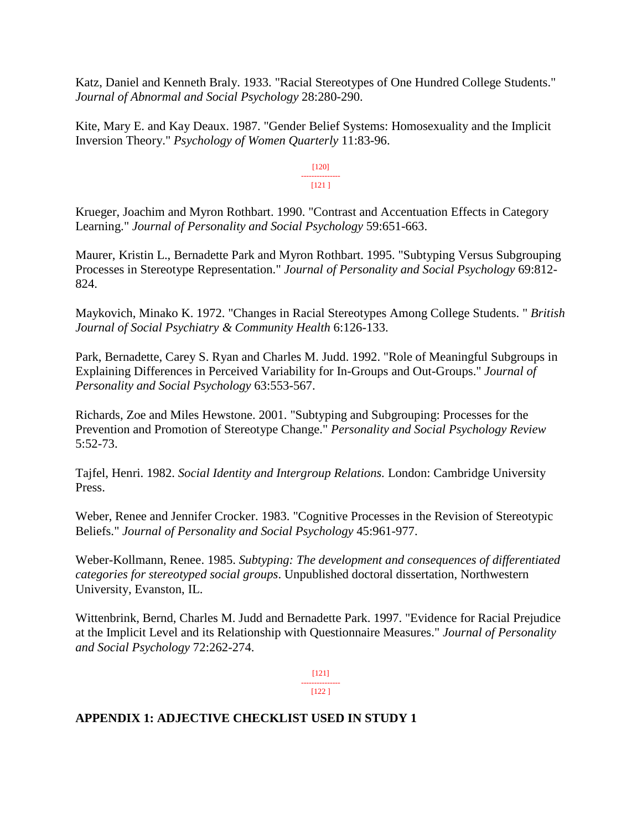Katz, Daniel and Kenneth Braly. 1933. "Racial Stereotypes of One Hundred College Students." *Journal of Abnormal and Social Psychology* 28:280-290.

Kite, Mary E. and Kay Deaux. 1987. "Gender Belief Systems: Homosexuality and the Implicit Inversion Theory." *Psychology of Women Quarterly* 11:83-96.

> [120] --------------- [121 ]

Krueger, Joachim and Myron Rothbart. 1990. "Contrast and Accentuation Effects in Category Learning." *Journal of Personality and Social Psychology* 59:651-663.

Maurer, Kristin L., Bernadette Park and Myron Rothbart. 1995. "Subtyping Versus Subgrouping Processes in Stereotype Representation." *Journal of Personality and Social Psychology* 69:812- 824.

Maykovich, Minako K. 1972. "Changes in Racial Stereotypes Among College Students. " *British Journal of Social Psychiatry & Community Health* 6:126-133.

Park, Bernadette, Carey S. Ryan and Charles M. Judd. 1992. "Role of Meaningful Subgroups in Explaining Differences in Perceived Variability for In-Groups and Out-Groups." *Journal of Personality and Social Psychology* 63:553-567.

Richards, Zoe and Miles Hewstone. 2001. "Subtyping and Subgrouping: Processes for the Prevention and Promotion of Stereotype Change." *Personality and Social Psychology Review* 5:52-73.

Tajfel, Henri. 1982. *Social Identity and Intergroup Relations.* London: Cambridge University Press.

Weber, Renee and Jennifer Crocker. 1983. "Cognitive Processes in the Revision of Stereotypic Beliefs." *Journal of Personality and Social Psychology* 45:961-977.

Weber-Kollmann, Renee. 1985. *Subtyping: The development and consequences of differentiated categories for stereotyped social groups*. Unpublished doctoral dissertation, Northwestern University, Evanston, IL.

Wittenbrink, Bernd, Charles M. Judd and Bernadette Park. 1997. "Evidence for Racial Prejudice at the Implicit Level and its Relationship with Questionnaire Measures." *Journal of Personality and Social Psychology* 72:262-274.

> [121] ---------------

#### [122 ]

# **APPENDIX 1: ADJECTIVE CHECKLIST USED IN STUDY 1**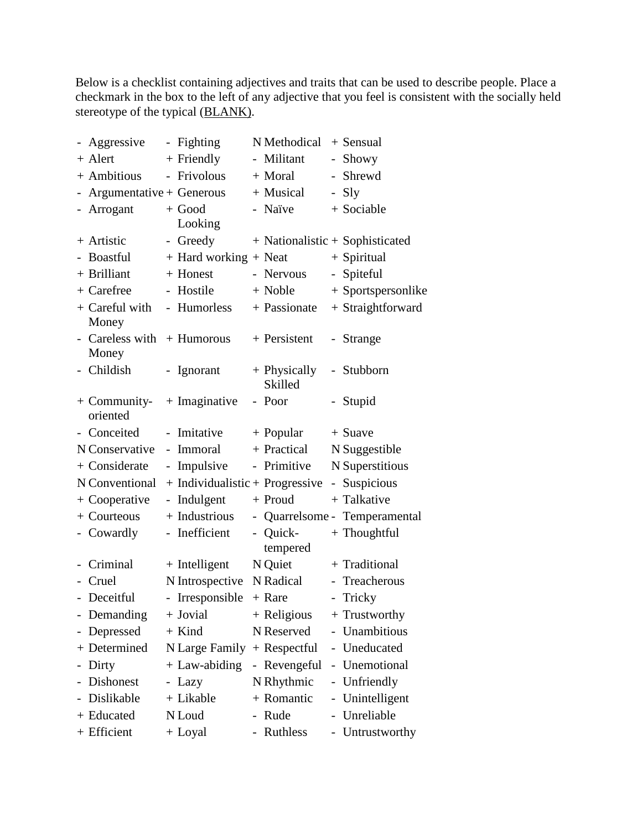Below is a checklist containing adjectives and traits that can be used to describe people. Place a checkmark in the box to the left of any adjective that you feel is consistent with the socially held stereotype of the typical (BLANK).

| - Aggressive               |                          | - Fighting                      | N Methodical            |                             | $+$ Sensual                     |
|----------------------------|--------------------------|---------------------------------|-------------------------|-----------------------------|---------------------------------|
| $+$ Alert                  |                          | $+$ Friendly                    | - Militant              |                             | Showy                           |
| + Ambitious                |                          | - Frivolous                     | + Moral                 | $-$                         | Shrewd                          |
| $Argumentative + Generous$ |                          |                                 | + Musical               |                             | - Sly                           |
| Arrogant                   |                          | $+$ Good                        | - Naïve                 |                             | + Sociable                      |
|                            |                          | Looking                         |                         |                             |                                 |
| + Artistic                 |                          | - Greedy                        |                         |                             | + Nationalistic + Sophisticated |
| - Boastful                 |                          | + Hard working + Neat           |                         |                             | + Spiritual                     |
| + Brilliant                |                          | + Honest                        | - Nervous               | $\mathcal{L}_{\mathcal{A}}$ | Spiteful                        |
| + Carefree                 |                          | Hostile                         | + Noble                 |                             | + Sportspersonlike              |
| + Careful with<br>Money    |                          | - Humorless                     | + Passionate            |                             | + Straightforward               |
| Careless with<br>Money     |                          | $+$ Humorous                    | + Persistent            |                             | - Strange                       |
| - Childish                 | $\overline{\phantom{a}}$ | Ignorant                        | + Physically<br>Skilled | $\overline{\phantom{0}}$    | Stubborn                        |
| $+$ Community-<br>oriented |                          | $+$ Imaginative                 | - Poor                  | $\blacksquare$              | Stupid                          |
| - Conceited                | $\frac{1}{2}$            | Imitative                       | $+$ Popular             |                             | $+$ Suave                       |
| N Conservative             | $\overline{\phantom{0}}$ | Immoral                         | + Practical             |                             | N Suggestible                   |
| + Considerate              |                          | - Impulsive                     | - Primitive             |                             | N Superstitious                 |
| N Conventional             |                          | + Individualistic + Progressive |                         | $\equiv$                    | Suspicious                      |
| + Cooperative              |                          | - Indulgent                     | + Proud                 |                             | + Talkative                     |
| + Courteous                |                          | + Industrious                   |                         |                             | - Quarrelsome - Temperamental   |
| - Cowardly                 |                          | - Inefficient                   | - Quick-<br>tempered    |                             | $+$ Thoughtful                  |
| Criminal                   |                          | $+$ Intelligent                 | N Quiet                 |                             | + Traditional                   |
| Cruel                      |                          | N Introspective                 | N Radical               |                             | - Treacherous                   |
| - Deceitful                |                          | - Irresponsible                 | + Rare                  |                             | - Tricky                        |
| Demanding                  |                          | + Jovial                        | + Religious             |                             | + Trustworthy                   |
| Depressed                  |                          | $+$ Kind                        | N Reserved              |                             | Unambitious                     |
| + Determined               |                          | N Large Family                  | + Respectful            | $\overline{\phantom{0}}$    | Uneducated                      |
| Dirty                      |                          | $+$ Law-abiding                 | - Revengeful            |                             | Unemotional                     |
| <b>Dishonest</b>           |                          | - Lazy                          | N Rhythmic              |                             | Unfriendly                      |
| Dislikable                 |                          | + Likable                       | + Romantic              | -                           | Unintelligent                   |
| + Educated                 |                          | N Loud                          | - Rude                  |                             | Unreliable                      |
| + Efficient                |                          | + Loyal                         | - Ruthless              |                             | Untrustworthy                   |